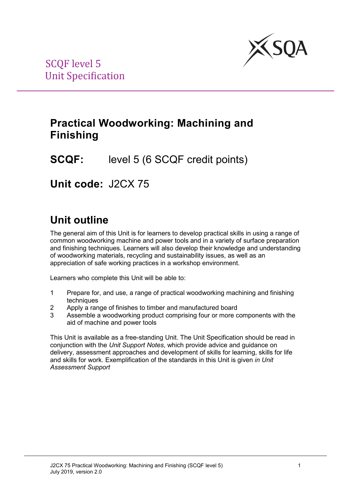

# **Practical Woodworking: Machining and Finishing**

**SCQF:** level 5 (6 SCQF credit points)

**Unit code:** J2CX 75

# **Unit outline**

The general aim of this Unit is for learners to develop practical skills in using a range of common woodworking machine and power tools and in a variety of surface preparation and finishing techniques. Learners will also develop their knowledge and understanding of woodworking materials, recycling and sustainability issues, as well as an appreciation of safe working practices in a workshop environment.

Learners who complete this Unit will be able to:

- 1 Prepare for, and use, a range of practical woodworking machining and finishing techniques
- 2 Apply a range of finishes to timber and manufactured board
- 3 Assemble a woodworking product comprising four or more components with the aid of machine and power tools

This Unit is available as a free-standing Unit. The Unit Specification should be read in conjunction with the *Unit Support Notes*, which provide advice and guidance on delivery, assessment approaches and development of skills for learning, skills for life and skills for work. Exemplification of the standards in this Unit is given *in Unit Assessment Support*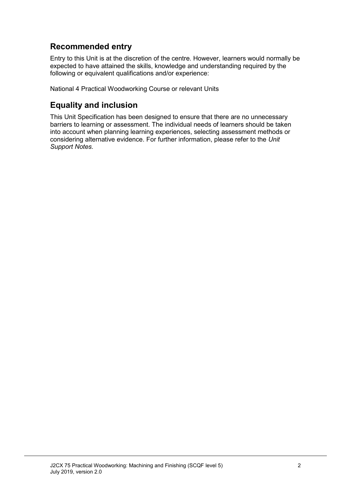## **Recommended entry**

Entry to this Unit is at the discretion of the centre. However, learners would normally be expected to have attained the skills, knowledge and understanding required by the following or equivalent qualifications and/or experience:

National 4 Practical Woodworking Course or relevant Units

### **Equality and inclusion**

This Unit Specification has been designed to ensure that there are no unnecessary barriers to learning or assessment. The individual needs of learners should be taken into account when planning learning experiences, selecting assessment methods or considering alternative evidence. For further information, please refer to the *Unit Support Notes.*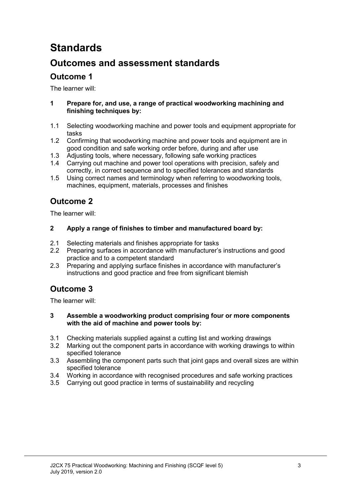# **Standards**

## **Outcomes and assessment standards**

## **Outcome 1**

The learner will:

#### **1 Prepare for, and use, a range of practical woodworking machining and finishing techniques by:**

- 1.1 Selecting woodworking machine and power tools and equipment appropriate for tasks
- 1.2 Confirming that woodworking machine and power tools and equipment are in good condition and safe working order before, during and after use
- 1.3 Adjusting tools, where necessary, following safe working practices
- 1.4 Carrying out machine and power tool operations with precision, safely and correctly, in correct sequence and to specified tolerances and standards
- 1.5 Using correct names and terminology when referring to woodworking tools, machines, equipment, materials, processes and finishes

## **Outcome 2**

The learner will:

#### **2 Apply a range of finishes to timber and manufactured board by:**

- 2.1 Selecting materials and finishes appropriate for tasks
- 2.2 Preparing surfaces in accordance with manufacturer's instructions and good practice and to a competent standard
- 2.3 Preparing and applying surface finishes in accordance with manufacturer's instructions and good practice and free from significant blemish

## **Outcome 3**

The learner will:

#### **3 Assemble a woodworking product comprising four or more components with the aid of machine and power tools by:**

- 3.1 Checking materials supplied against a cutting list and working drawings
- 3.2 Marking out the component parts in accordance with working drawings to within specified tolerance
- 3.3 Assembling the component parts such that joint gaps and overall sizes are within specified tolerance
- 3.4 Working in accordance with recognised procedures and safe working practices
- 3.5 Carrying out good practice in terms of sustainability and recycling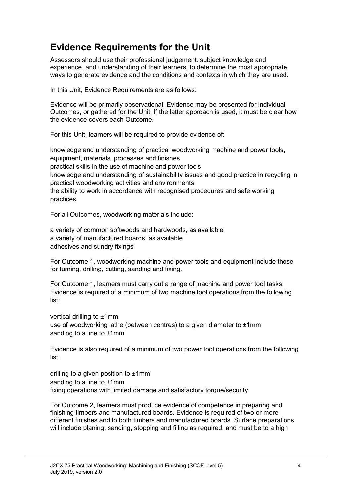## **Evidence Requirements for the Unit**

Assessors should use their professional judgement, subject knowledge and experience, and understanding of their learners, to determine the most appropriate ways to generate evidence and the conditions and contexts in which they are used.

In this Unit, Evidence Requirements are as follows:

Evidence will be primarily observational. Evidence may be presented for individual Outcomes, or gathered for the Unit. If the latter approach is used, it must be clear how the evidence covers each Outcome.

For this Unit, learners will be required to provide evidence of:

knowledge and understanding of practical woodworking machine and power tools, equipment, materials, processes and finishes practical skills in the use of machine and power tools knowledge and understanding of sustainability issues and good practice in recycling in practical woodworking activities and environments the ability to work in accordance with recognised procedures and safe working practices

For all Outcomes, woodworking materials include:

a variety of common softwoods and hardwoods, as available a variety of manufactured boards, as available adhesives and sundry fixings

For Outcome 1, woodworking machine and power tools and equipment include those for turning, drilling, cutting, sanding and fixing.

For Outcome 1, learners must carry out a range of machine and power tool tasks: Evidence is required of a minimum of two machine tool operations from the following list:

vertical drilling to ±1mm use of woodworking lathe (between centres) to a given diameter to  $\pm 1$ mm sanding to a line to ±1mm

Evidence is also required of a minimum of two power tool operations from the following list:

drilling to a given position to ±1mm sanding to a line to  $±1$ mm fixing operations with limited damage and satisfactory torque/security

For Outcome 2, learners must produce evidence of competence in preparing and finishing timbers and manufactured boards. Evidence is required of two or more different finishes and to both timbers and manufactured boards. Surface preparations will include planing, sanding, stopping and filling as required, and must be to a high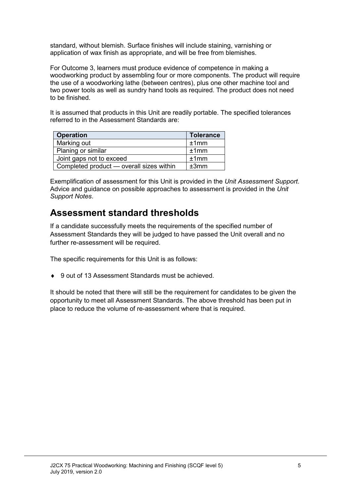standard, without blemish. Surface finishes will include staining, varnishing or application of wax finish as appropriate, and will be free from blemishes.

For Outcome 3, learners must produce evidence of competence in making a woodworking product by assembling four or more components. The product will require the use of a woodworking lathe (between centres), plus one other machine tool and two power tools as well as sundry hand tools as required. The product does not need to be finished.

It is assumed that products in this Unit are readily portable. The specified tolerances referred to in the Assessment Standards are:

| <b>Operation</b>                         | <b>Tolerance</b> |
|------------------------------------------|------------------|
| Marking out                              | ±1mm             |
| Planing or similar                       | ±1mm             |
| Joint gaps not to exceed                 | ±1mm             |
| Completed product - overall sizes within | ±3mm             |

Exemplification of assessment for this Unit is provided in the *Unit Assessment Support*. Advice and guidance on possible approaches to assessment is provided in the *Unit Support Notes*.

## **Assessment standard thresholds**

If a candidate successfully meets the requirements of the specified number of Assessment Standards they will be judged to have passed the Unit overall and no further re-assessment will be required.

The specific requirements for this Unit is as follows:

♦ 9 out of 13 Assessment Standards must be achieved.

It should be noted that there will still be the requirement for candidates to be given the opportunity to meet all Assessment Standards. The above threshold has been put in place to reduce the volume of re-assessment where that is required.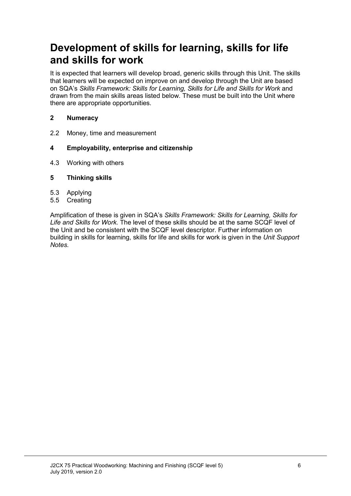# **Development of skills for learning, skills for life and skills for work**

It is expected that learners will develop broad, generic skills through this Unit. The skills that learners will be expected on improve on and develop through the Unit are based on SQA's *Skills Framework: Skills for Learning, Skills for Life and Skills for Work and* drawn from the main skills areas listed below. These must be built into the Unit where there are appropriate opportunities.

#### **2 Numeracy**

2.2 Money, time and measurement

#### **4 Employability, enterprise and citizenship**

4.3 Working with others

#### **5 Thinking skills**

- 5.3 Applying
- 5.5 Creating

Amplification of these is given in SQA's *Skills Framework: Skills for Learning, Skills for Life and Skills for Work.* The level of these skills should be at the same SCQF level of the Unit and be consistent with the SCQF level descriptor. Further information on building in skills for learning, skills for life and skills for work is given in the *Unit Support Notes.*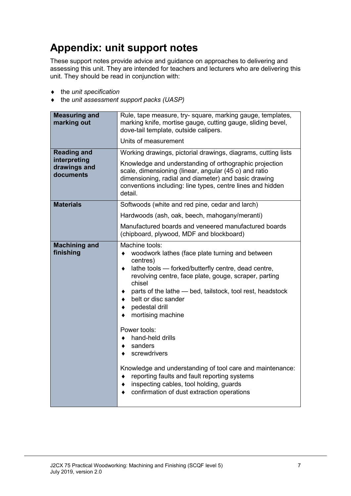# **Appendix: unit support notes**

These support notes provide advice and guidance on approaches to delivering and assessing this unit. They are intended for teachers and lecturers who are delivering this unit. They should be read in conjunction with:

- ♦ the *unit specification*
- ♦ the *unit assessment support packs (UASP)*

| <b>Measuring and</b><br>marking out       | Rule, tape measure, try-square, marking gauge, templates,<br>marking knife, mortise gauge, cutting gauge, sliding bevel,<br>dove-tail template, outside calipers.                                                                                                                                                                                                                                                                                                                                                                                                                                                                                                           |  |  |
|-------------------------------------------|-----------------------------------------------------------------------------------------------------------------------------------------------------------------------------------------------------------------------------------------------------------------------------------------------------------------------------------------------------------------------------------------------------------------------------------------------------------------------------------------------------------------------------------------------------------------------------------------------------------------------------------------------------------------------------|--|--|
|                                           | Units of measurement                                                                                                                                                                                                                                                                                                                                                                                                                                                                                                                                                                                                                                                        |  |  |
| <b>Reading and</b>                        | Working drawings, pictorial drawings, diagrams, cutting lists                                                                                                                                                                                                                                                                                                                                                                                                                                                                                                                                                                                                               |  |  |
| interpreting<br>drawings and<br>documents | Knowledge and understanding of orthographic projection<br>scale, dimensioning (linear, angular (45 o) and ratio<br>dimensioning, radial and diameter) and basic drawing<br>conventions including: line types, centre lines and hidden<br>detail.                                                                                                                                                                                                                                                                                                                                                                                                                            |  |  |
| <b>Materials</b>                          | Softwoods (white and red pine, cedar and larch)                                                                                                                                                                                                                                                                                                                                                                                                                                                                                                                                                                                                                             |  |  |
|                                           | Hardwoods (ash, oak, beech, mahogany/meranti)                                                                                                                                                                                                                                                                                                                                                                                                                                                                                                                                                                                                                               |  |  |
|                                           | Manufactured boards and veneered manufactured boards<br>(chipboard, plywood, MDF and blockboard)                                                                                                                                                                                                                                                                                                                                                                                                                                                                                                                                                                            |  |  |
| <b>Machining and</b><br>finishing         | Machine tools:<br>woodwork lathes (face plate turning and between<br>٠<br>centres)<br>lathe tools - forked/butterfly centre, dead centre,<br>٠<br>revolving centre, face plate, gouge, scraper, parting<br>chisel<br>parts of the lathe - bed, tailstock, tool rest, headstock<br>٠<br>belt or disc sander<br>٠<br>pedestal drill<br>٠<br>mortising machine<br>٠<br>Power tools:<br>hand-held drills<br>$\bullet$<br>sanders<br>٠<br>screwdrivers<br>٠<br>Knowledge and understanding of tool care and maintenance:<br>reporting faults and fault reporting systems<br>٠<br>inspecting cables, tool holding, guards<br>٠<br>confirmation of dust extraction operations<br>٠ |  |  |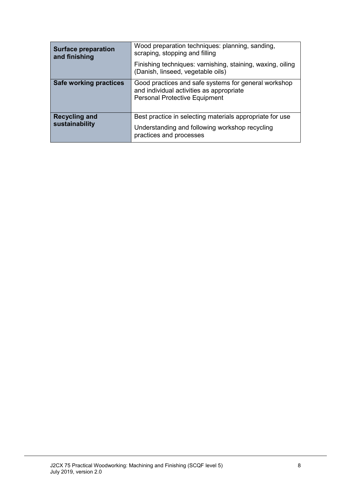| <b>Surface preparation</b><br>and finishing | Wood preparation techniques: planning, sanding,<br>scraping, stopping and filling<br>Finishing techniques: varnishing, staining, waxing, oiling<br>(Danish, linseed, vegetable oils) |
|---------------------------------------------|--------------------------------------------------------------------------------------------------------------------------------------------------------------------------------------|
| Safe working practices                      | Good practices and safe systems for general workshop<br>and individual activities as appropriate<br><b>Personal Protective Equipment</b>                                             |
| <b>Recycling and</b><br>sustainability      | Best practice in selecting materials appropriate for use<br>Understanding and following workshop recycling<br>practices and processes                                                |